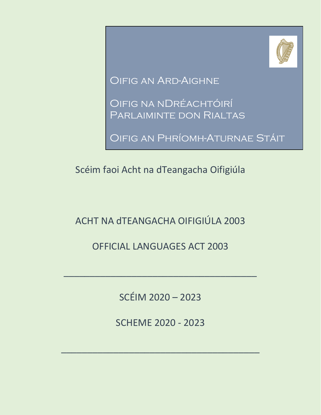

Oifig an Ard-Aighne

Oifig na nDréachtóirí Parlaiminte don Rialtas

Oifig an Phríomh-Aturnae Stáit

Scéim faoi Acht na dTeangacha Oifigiúla

ACHT NA dTEANGACHA OIFIGIÚLA 2003

OFFICIAL LANGUAGES ACT 2003

SCÉIM 2020 – 2023

\_\_\_\_\_\_\_\_\_\_\_\_\_\_\_\_\_\_\_\_\_\_\_\_\_\_\_\_\_\_\_\_\_\_\_\_\_

SCHEME 2020 - 2023

\_\_\_\_\_\_\_\_\_\_\_\_\_\_\_\_\_\_\_\_\_\_\_\_\_\_\_\_\_\_\_\_\_\_\_\_\_\_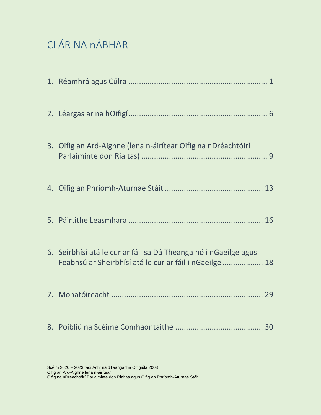# CLÁR NA nÁBHAR

| 3. Oifig an Ard-Aighne (lena n-áirítear Oifig na nDréachtóirí                                                               |
|-----------------------------------------------------------------------------------------------------------------------------|
|                                                                                                                             |
|                                                                                                                             |
| 6. Seirbhísí atá le cur ar fáil sa Dá Theanga nó i nGaeilge agus<br>Feabhsú ar Sheirbhísí atá le cur ar fáil i nGaeilge  18 |
|                                                                                                                             |
|                                                                                                                             |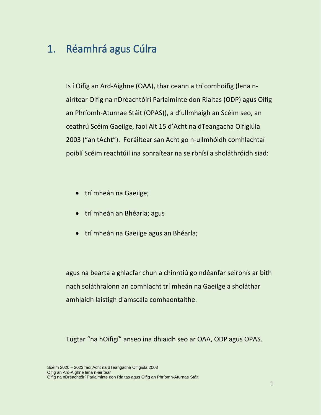### 1. Réamhrá agus Cúlra

Is í Oifig an Ard-Aighne (OAA), thar ceann a trí comhoifig (lena náirítear Oifig na nDréachtóirí Parlaiminte don Rialtas (ODP) agus Oifig an Phríomh-Aturnae Stáit (OPAS)), a d'ullmhaigh an Scéim seo, an ceathrú Scéim Gaeilge, faoi Alt 15 d'Acht na dTeangacha Oifigiúla 2003 ("an tAcht"). Foráiltear san Acht go n-ullmhóidh comhlachtaí poiblí Scéim reachtúil ina sonraítear na seirbhísí a sholáthróidh siad:

- trí mheán na Gaeilge;
- trí mheán an Bhéarla; agus
- **•** trí mheán na Gaeilge agus an Bhéarla;

agus na bearta a ghlacfar chun a chinntiú go ndéanfar seirbhís ar bith nach soláthraíonn an comhlacht trí mheán na Gaeilge a sholáthar amhlaidh laistigh d'amscála comhaontaithe.

Tugtar "na hOifigí" anseo ina dhiaidh seo ar OAA, ODP agus OPAS.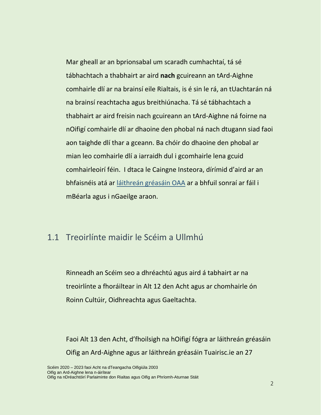Mar gheall ar an bprionsabal um scaradh cumhachtaí, tá sé tábhachtach a thabhairt ar aird **nach** gcuireann an tArd-Aighne comhairle dlí ar na brainsí eile Rialtais, is é sin le rá, an tUachtarán ná na brainsí reachtacha agus breithiúnacha. Tá sé tábhachtach a thabhairt ar aird freisin nach gcuireann an tArd-Aighne ná foirne na nOifigí comhairle dlí ar dhaoine den phobal ná nach dtugann siad faoi aon taighde dlí thar a gceann. Ba chóir do dhaoine den phobal ar mian leo comhairle dlí a iarraidh dul i gcomhairle lena gcuid comhairleoirí féin. I dtaca le Caingne Insteora, dírímid d'aird ar an bhfaisnéis atá ar [láithreán gréasáin OAA](http://www.attorneygeneral.ie/) ar a bhfuil sonraí ar fáil i mBéarla agus i nGaeilge araon.

### 1.1 Treoirlínte maidir le Scéim a Ullmhú

Rinneadh an Scéim seo a dhréachtú agus aird á tabhairt ar na treoirlínte a fhoráiltear in Alt 12 den Acht agus ar chomhairle ón Roinn Cultúir, Oidhreachta agus Gaeltachta.

Faoi Alt 13 den Acht, d'fhoilsigh na hOifigí fógra ar láithreán gréasáin Oifig an Ard-Aighne agus ar láithreán gréasáin Tuairisc.ie an 27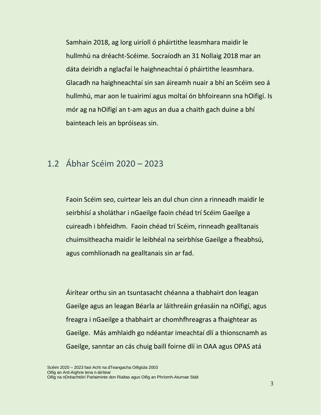Samhain 2018, ag lorg uiríoll ó pháirtithe leasmhara maidir le hullmhú na dréacht-Scéime. Socraíodh an 31 Nollaig 2018 mar an dáta deiridh a nglacfaí le haighneachtaí ó pháirtithe leasmhara. Glacadh na haighneachtaí sin san áireamh nuair a bhí an Scéim seo á hullmhú, mar aon le tuairimí agus moltaí ón bhfoireann sna hOifigí. Is mór ag na hOifigí an t-am agus an dua a chaith gach duine a bhí bainteach leis an bpróiseas sin.

### 1.2 Ábhar Scéim 2020 – 2023

Faoin Scéim seo, cuirtear leis an dul chun cinn a rinneadh maidir le seirbhísí a sholáthar i nGaeilge faoin chéad trí Scéim Gaeilge a cuireadh i bhfeidhm. Faoin chéad trí Scéim, rinneadh gealltanais chuimsitheacha maidir le leibhéal na seirbhíse Gaeilge a fheabhsú, agus comhlíonadh na gealltanais sin ar fad.

Áirítear orthu sin an tsuntasacht chéanna a thabhairt don leagan Gaeilge agus an leagan Béarla ar láithreáin gréasáin na nOifigí, agus freagra i nGaeilge a thabhairt ar chomhfhreagras a fhaightear as Gaeilge. Más amhlaidh go ndéantar imeachtaí dlí a thionscnamh as Gaeilge, sanntar an cás chuig baill foirne dlí in OAA agus OPAS atá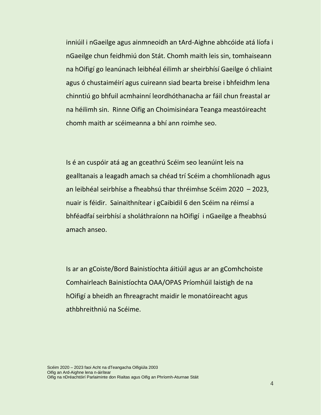inniúil i nGaeilge agus ainmneoidh an tArd-Aighne abhcóide atá líofa i nGaeilge chun feidhmiú don Stát. Chomh maith leis sin, tomhaiseann na hOifigí go leanúnach leibhéal éilimh ar sheirbhísí Gaeilge ó chliaint agus ó chustaiméirí agus cuireann siad bearta breise i bhfeidhm lena chinntiú go bhfuil acmhainní leordhóthanacha ar fáil chun freastal ar na héilimh sin. Rinne Oifig an Choimisinéara Teanga meastóireacht chomh maith ar scéimeanna a bhí ann roimhe seo.

Is é an cuspóir atá ag an gceathrú Scéim seo leanúint leis na gealltanais a leagadh amach sa chéad trí Scéim a chomhlíonadh agus an leibhéal seirbhíse a fheabhsú thar thréimhse Scéim 2020 – 2023, nuair is féidir. Sainaithnítear i gCaibidil 6 den Scéim na réimsí a bhféadfaí seirbhísí a sholáthraíonn na hOifigí i nGaeilge a fheabhsú amach anseo.

Is ar an gCoiste/Bord Bainistíochta áitiúil agus ar an gComhchoiste Comhairleach Bainistíochta OAA/OPAS Príomhúil laistigh de na hOifigí a bheidh an fhreagracht maidir le monatóireacht agus athbhreithniú na Scéime.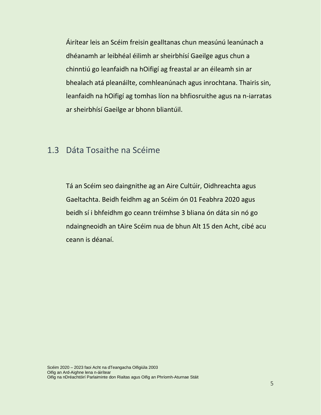Áirítear leis an Scéim freisin gealltanas chun measúnú leanúnach a dhéanamh ar leibhéal éilimh ar sheirbhísí Gaeilge agus chun a chinntiú go leanfaidh na hOifigí ag freastal ar an éileamh sin ar bhealach atá pleanáilte, comhleanúnach agus inrochtana. Thairis sin, leanfaidh na hOifigí ag tomhas líon na bhfiosruithe agus na n-iarratas ar sheirbhísí Gaeilge ar bhonn bliantúil.

#### 1.3 Dáta Tosaithe na Scéime

Tá an Scéim seo daingnithe ag an Aire Cultúir, Oidhreachta agus Gaeltachta. Beidh feidhm ag an Scéim ón 01 Feabhra 2020 agus beidh sí i bhfeidhm go ceann tréimhse 3 bliana ón dáta sin nó go ndaingneoidh an tAire Scéim nua de bhun Alt 15 den Acht, cibé acu ceann is déanaí.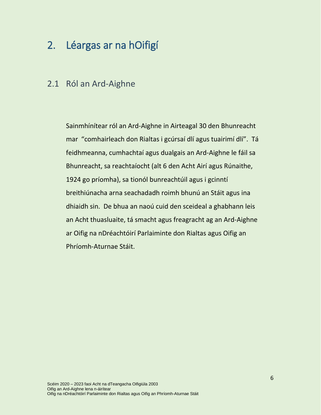# <span id="page-7-0"></span>2. Léargas ar na hOifigí

#### 2.1 Ról an Ard-Aighne

Sainmhínítear ról an Ard-Aighne in Airteagal 30 den Bhunreacht mar "comhairleach don Rialtas i gcúrsaí dlí agus tuairimí dlí". Tá feidhmeanna, cumhachtaí agus dualgais an Ard-Aighne le fáil sa Bhunreacht, sa reachtaíocht (alt 6 den Acht Airí agus Rúnaithe, 1924 go príomha), sa tionól bunreachtúil agus i gcinntí breithiúnacha arna seachadadh roimh bhunú an Stáit agus ina dhiaidh sin. De bhua an naoú cuid den sceideal a ghabhann leis an Acht thuasluaite, tá smacht agus freagracht ag an Ard-Aighne ar Oifig na nDréachtóirí Parlaiminte don Rialtas agus Oifig an Phríomh-Aturnae Stáit.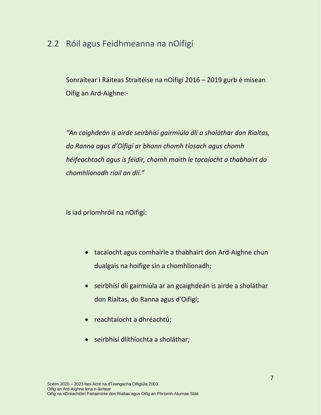### 2.2 Róil agus Feidhmeanna na nOifigí

Sonraítear i Ráiteas Straitéise na nOifigí 2016 – 2019 gurb é misean Oifig an Ard-Aighne:-

*"An caighdeán is airde seirbhísí gairmiúla dlí a sholáthar don Rialtas, do Ranna agus d'Oifigí ar bhonn chomh tíosach agus chomh héifeachtach agus is féidir, chomh maith le tacaíocht a thabhairt do chomhlíonadh riail an dlí."*

Is iad príomhróil na nOifigí:

- tacaíocht agus comhairle a thabhairt don Ard-Aighne chun dualgais na hoifige sin a chomhlíonadh;
- seirbhísí dlí gairmiúla ar an gcaighdeán is airde a sholáthar don Rialtas, do Ranna agus d'Oifigí;
- reachtaíocht a dhréachtú;
- seirbhísí dlíthíochta a sholáthar;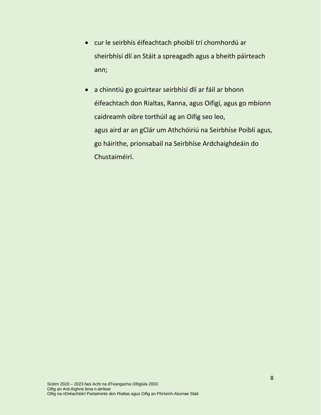- cur le seirbhís éifeachtach phoiblí trí chomhordú ar sheirbhísí dlí an Stáit a spreagadh agus a bheith páirteach ann;
- a chinntiú go gcuirtear seirbhísí dlí ar fáil ar bhonn éifeachtach don Rialtas, Ranna, agus Oifigí, agus go mbíonn caidreamh oibre torthúil ag an Oifig seo leo, agus aird ar an gClár um Athchóiriú na Seirbhíse Poiblí agus, go háirithe, prionsabail na Seirbhíse Ardchaighdeáin do Chustaiméirí.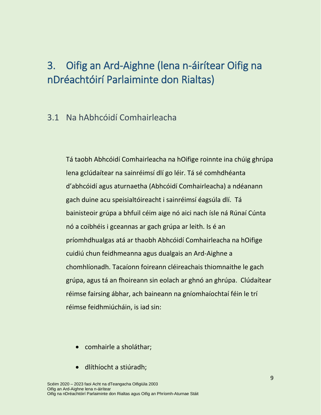# <span id="page-10-0"></span>3. Oifig an Ard-Aighne (lena n-áirítear Oifig na nDréachtóirí Parlaiminte don Rialtas)

#### 3.1 Na hAbhcóidí Comhairleacha

Tá taobh Abhcóidí Comhairleacha na hOifige roinnte ina chúig ghrúpa lena gclúdaítear na sainréimsí dlí go léir. Tá sé comhdhéanta d'abhcóidí agus aturnaetha (Abhcóidí Comhairleacha) a ndéanann gach duine acu speisialtóireacht i sainréimsí éagsúla dlí. Tá bainisteoir grúpa a bhfuil céim aige nó aici nach ísle ná Rúnaí Cúnta nó a coibhéis i gceannas ar gach grúpa ar leith. Is é an príomhdhualgas atá ar thaobh Abhcóidí Comhairleacha na hOifige cuidiú chun feidhmeanna agus dualgais an Ard-Aighne a chomhlíonadh. Tacaíonn foireann cléireachais thiomnaithe le gach grúpa, agus tá an fhoireann sin eolach ar ghnó an ghrúpa. Clúdaítear réimse fairsing ábhar, ach baineann na gníomhaíochtaí féin le trí réimse feidhmiúcháin, is iad sin:

- comhairle a sholáthar;
- dlíthíocht a stiúradh;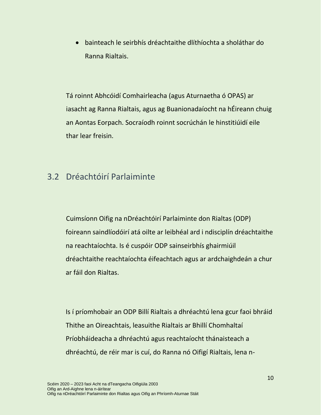bainteach le seirbhís dréachtaithe dlíthíochta a sholáthar do Ranna Rialtais.

Tá roinnt Abhcóidí Comhairleacha (agus Aturnaetha ó OPAS) ar iasacht ag Ranna Rialtais, agus ag Buanionadaíocht na hÉireann chuig an Aontas Eorpach. Socraíodh roinnt socrúchán le hinstitiúidí eile thar lear freisin.

#### 3.2 Dréachtóirí Parlaiminte

Cuimsíonn Oifig na nDréachtóirí Parlaiminte don Rialtas (ODP) foireann saindlíodóirí atá oilte ar leibhéal ard i ndisciplín dréachtaithe na reachtaíochta. Is é cuspóir ODP sainseirbhís ghairmiúil dréachtaithe reachtaíochta éifeachtach agus ar ardchaighdeán a chur ar fáil don Rialtas.

Is í príomhobair an ODP Billí Rialtais a dhréachtú lena gcur faoi bhráid Thithe an Oireachtais, leasuithe Rialtais ar Bhillí Chomhaltaí Príobháideacha a dhréachtú agus reachtaíocht thánaisteach a dhréachtú, de réir mar is cuí, do Ranna nó Oifigí Rialtais, lena n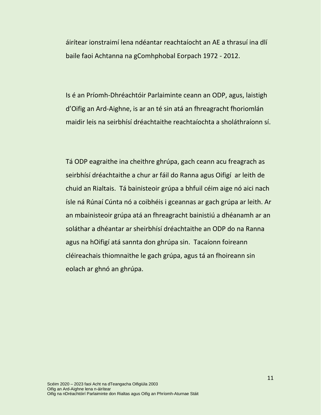áirítear ionstraimí lena ndéantar reachtaíocht an AE a thrasuí ina dlí baile faoi Achtanna na gComhphobal Eorpach 1972 - 2012.

Is é an Príomh-Dhréachtóir Parlaiminte ceann an ODP, agus, laistigh d'Oifig an Ard-Aighne, is ar an té sin atá an fhreagracht fhoriomlán maidir leis na seirbhísí dréachtaithe reachtaíochta a sholáthraíonn sí.

Tá ODP eagraithe ina cheithre ghrúpa, gach ceann acu freagrach as seirbhísí dréachtaithe a chur ar fáil do Ranna agus Oifigí ar leith de chuid an Rialtais. Tá bainisteoir grúpa a bhfuil céim aige nó aici nach ísle ná Rúnaí Cúnta nó a coibhéis i gceannas ar gach grúpa ar leith. Ar an mbainisteoir grúpa atá an fhreagracht bainistiú a dhéanamh ar an soláthar a dhéantar ar sheirbhísí dréachtaithe an ODP do na Ranna agus na hOifigí atá sannta don ghrúpa sin. Tacaíonn foireann cléireachais thiomnaithe le gach grúpa, agus tá an fhoireann sin eolach ar ghnó an ghrúpa.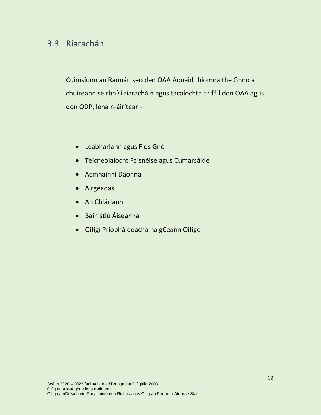### 3.3 Riarachán

Cuimsíonn an Rannán seo den OAA Aonaid thiomnaithe Ghnó a chuireann seirbhísí riaracháin agus tacaíochta ar fáil don OAA agus don ODP, lena n-áirítear:-

- Leabharlann agus Fios Gnó
- Teicneolaíocht Faisnéise agus Cumarsáide
- Acmhainní Daonna
- Airgeadas
- An Chlárlann
- Bainistiú Áiseanna
- Oifigí Príobháideacha na gCeann Oifige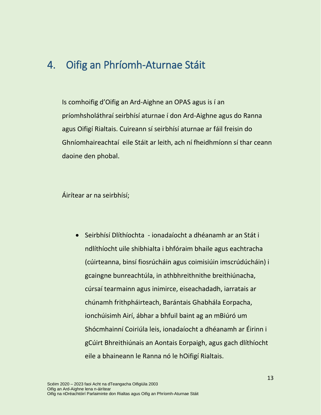### <span id="page-14-0"></span>4. Oifig an Phríomh-Aturnae Stáit

Is comhoifig d'Oifig an Ard-Aighne an OPAS agus is í an príomhsholáthraí seirbhísí aturnae í don Ard-Aighne agus do Ranna agus Oifigí Rialtais. Cuireann sí seirbhísí aturnae ar fáil freisin do Ghníomhaireachtaí eile Stáit ar leith, ach ní fheidhmíonn sí thar ceann daoine den phobal.

Áirítear ar na seirbhísí;

 Seirbhísí Dlíthíochta - ionadaíocht a dhéanamh ar an Stát i ndlíthíocht uile shibhialta i bhfóraim bhaile agus eachtracha (cúirteanna, binsí fiosrúcháin agus coimisiúin imscrúdúcháin) i gcaingne bunreachtúla, in athbhreithnithe breithiúnacha, cúrsaí tearmainn agus inimirce, eiseachadadh, iarratais ar chúnamh frithpháirteach, Barántais Ghabhála Eorpacha, ionchúisimh Airí, ábhar a bhfuil baint ag an mBiúró um Shócmhainní Coiriúla leis, ionadaíocht a dhéanamh ar Éirinn i gCúirt Bhreithiúnais an Aontais Eorpaigh, agus gach dlíthíocht eile a bhaineann le Ranna nó le hOifigí Rialtais.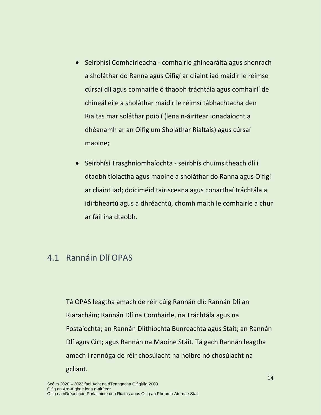- Seirbhísí Comhairleacha comhairle ghinearálta agus shonrach a sholáthar do Ranna agus Oifigí ar cliaint iad maidir le réimse cúrsaí dlí agus comhairle ó thaobh tráchtála agus comhairlí de chineál eile a sholáthar maidir le réimsí tábhachtacha den Rialtas mar soláthar poiblí (lena n-áirítear ionadaíocht a dhéanamh ar an Oifig um Sholáthar Rialtais) agus cúrsaí maoine;
- Seirbhísí Trasghníomhaíochta seirbhís chuimsitheach dlí i dtaobh tíolactha agus maoine a sholáthar do Ranna agus Oifigí ar cliaint iad; doiciméid tairisceana agus conarthaí tráchtála a idirbheartú agus a dhréachtú, chomh maith le comhairle a chur ar fáil ina dtaobh.

#### 4.1 Rannáin Dlí OPAS

Tá OPAS leagtha amach de réir cúig Rannán dlí: Rannán Dlí an Riaracháin; Rannán Dlí na Comhairle, na Tráchtála agus na Fostaíochta; an Rannán Dlíthíochta Bunreachta agus Stáit; an Rannán Dlí agus Cirt; agus Rannán na Maoine Stáit. Tá gach Rannán leagtha amach i rannóga de réir chosúlacht na hoibre nó chosúlacht na gcliant.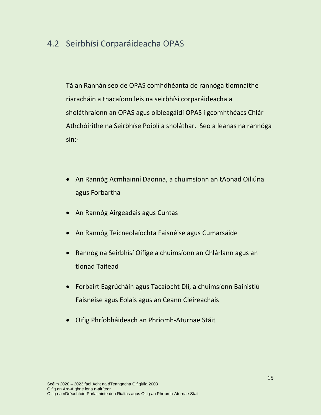### 4.2 Seirbhísí Corparáideacha OPAS

Tá an Rannán seo de OPAS comhdhéanta de rannóga tiomnaithe riaracháin a thacaíonn leis na seirbhísí corparáideacha a sholáthraíonn an OPAS agus oibleagáidí OPAS i gcomhthéacs Chlár Athchóirithe na Seirbhíse Poiblí a sholáthar. Seo a leanas na rannóga sin:-

- An Rannóg Acmhainní Daonna, a chuimsíonn an tAonad Oiliúna agus Forbartha
- An Rannóg Airgeadais agus Cuntas
- An Rannóg Teicneolaíochta Faisnéise agus Cumarsáide
- Rannóg na Seirbhísí Oifige a chuimsíonn an Chlárlann agus an tIonad Taifead
- Forbairt Eagrúcháin agus Tacaíocht Dlí, a chuimsíonn Bainistiú Faisnéise agus Eolais agus an Ceann Cléireachais
- Oifig Phríobháideach an Phríomh-Aturnae Stáit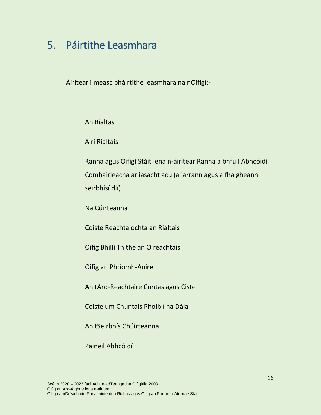# <span id="page-17-0"></span>5. Páirtithe Leasmhara

Áirítear i measc pháirtithe leasmhara na nOifigí:-

#### An Rialtas

Airí Rialtais

Ranna agus Oifigí Stáit lena n-áirítear Ranna a bhfuil Abhcóidí Comhairleacha ar iasacht acu (a iarrann agus a fhaigheann seirbhísí dlí)

Na Cúirteanna

Coiste Reachtaíochta an Rialtais

Oifig Bhillí Thithe an Oireachtais

Oifig an Phríomh-Aoire

An tArd-Reachtaire Cuntas agus Ciste

Coiste um Chuntais Phoiblí na Dála

An tSeirbhís Chúirteanna

Painéil Abhcóidí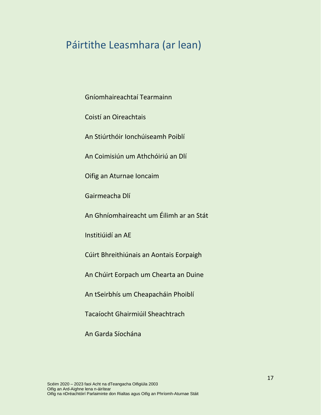### Páirtithe Leasmhara (ar lean)

Gníomhaireachtaí Tearmainn

Coistí an Oireachtais

An Stiúrthóir Ionchúiseamh Poiblí

An Coimisiún um Athchóiriú an Dlí

Oifig an Aturnae Ioncaim

Gairmeacha Dlí

An Ghníomhaireacht um Éilimh ar an Stát

Institiúidí an AE

Cúirt Bhreithiúnais an Aontais Eorpaigh

An Chúirt Eorpach um Chearta an Duine

An tSeirbhís um Cheapacháin Phoiblí

Tacaíocht Ghairmiúil Sheachtrach

An Garda Síochána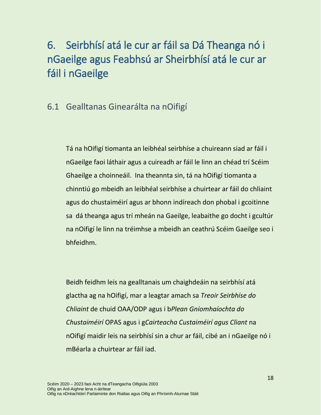# <span id="page-19-0"></span>6. Seirbhísí atá le cur ar fáil sa Dá Theanga nó i nGaeilge agus Feabhsú ar Sheirbhísí atá le cur ar fáil i nGaeilge

### 6.1 Gealltanas Ginearálta na nOifigí

Tá na hOifigí tiomanta an leibhéal seirbhíse a chuireann siad ar fáil i nGaeilge faoi láthair agus a cuireadh ar fáil le linn an chéad trí Scéim Ghaeilge a choinneáil. Ina theannta sin, tá na hOifigí tiomanta a chinntiú go mbeidh an leibhéal seirbhíse a chuirtear ar fáil do chliaint agus do chustaiméirí agus ar bhonn indíreach don phobal i gcoitinne sa dá theanga agus trí mheán na Gaeilge, leabaithe go docht i gcultúr na nOifigí le linn na tréimhse a mbeidh an ceathrú Scéim Gaeilge seo i bhfeidhm.

Beidh feidhm leis na gealltanais um chaighdeáin na seirbhísí atá glactha ag na hOifigí, mar a leagtar amach sa *Treoir Seirbhíse do Chliaint* de chuid OAA/ODP agus i b*Plean Gníomhaíochta do Chustaiméirí* OPAS agus i g*Cairteacha Custaiméirí agus Cliant* na nOifigí maidir leis na seirbhísí sin a chur ar fáil, cibé an i nGaeilge nó i mBéarla a chuirtear ar fáil iad.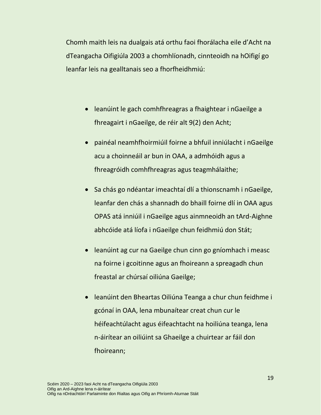Chomh maith leis na dualgais atá orthu faoi fhorálacha eile d'Acht na dTeangacha Oifigiúla 2003 a chomhlíonadh, cinnteoidh na hOifigí go leanfar leis na gealltanais seo a fhorfheidhmiú:

- leanúint le gach comhfhreagras a fhaightear i nGaeilge a fhreagairt i nGaeilge, de réir alt 9(2) den Acht;
- painéal neamhfhoirmiúil foirne a bhfuil inniúlacht i nGaeilge acu a choinneáil ar bun in OAA, a admhóidh agus a fhreagróidh comhfhreagras agus teagmhálaithe;
- Sa chás go ndéantar imeachtaí dlí a thionscnamh i nGaeilge, leanfar den chás a shannadh do bhaill foirne dlí in OAA agus OPAS atá inniúil i nGaeilge agus ainmneoidh an tArd-Aighne abhcóide atá líofa i nGaeilge chun feidhmiú don Stát;
- leanúint ag cur na Gaeilge chun cinn go gníomhach i measc na foirne i gcoitinne agus an fhoireann a spreagadh chun freastal ar chúrsaí oiliúna Gaeilge;
- leanúint den Bheartas Oiliúna Teanga a chur chun feidhme i gcónaí in OAA, lena mbunaítear creat chun cur le héifeachtúlacht agus éifeachtacht na hoiliúna teanga, lena n-áirítear an oiliúint sa Ghaeilge a chuirtear ar fáil don fhoireann;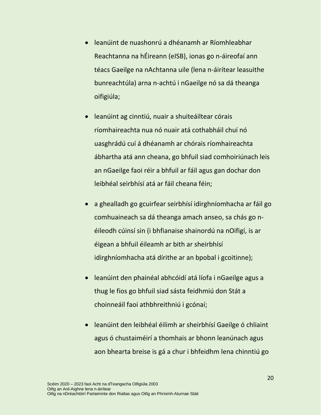- leanúint de nuashonrú a dhéanamh ar Ríomhleabhar Reachtanna na hÉireann (eISB), ionas go n-áireofaí ann téacs Gaeilge na nAchtanna uile (lena n-áirítear leasuithe bunreachtúla) arna n-achtú i nGaeilge nó sa dá theanga oifigiúla;
- leanúint ag cinntiú, nuair a shuiteáiltear córais ríomhaireachta nua nó nuair atá cothabháil chuí nó uasghrádú cuí á dhéanamh ar chórais ríomhaireachta ábhartha atá ann cheana, go bhfuil siad comhoiriúnach leis an nGaeilge faoi réir a bhfuil ar fáil agus gan dochar don leibhéal seirbhísí atá ar fáil cheana féin;
- a ghealladh go gcuirfear seirbhísí idirghníomhacha ar fáil go comhuaineach sa dá theanga amach anseo, sa chás go néileodh cúinsí sin (i bhfianaise shainordú na nOifigí, is ar éigean a bhfuil éileamh ar bith ar sheirbhísí idirghníomhacha atá dírithe ar an bpobal i gcoitinne);
- leanúint den phainéal abhcóidí atá líofa i nGaeilge agus a thug le fios go bhfuil siad sásta feidhmiú don Stát a choinneáil faoi athbhreithniú i gcónaí;
- leanúint den leibhéal éilimh ar sheirbhísí Gaeilge ó chliaint agus ó chustaiméirí a thomhais ar bhonn leanúnach agus aon bhearta breise is gá a chur i bhfeidhm lena chinntiú go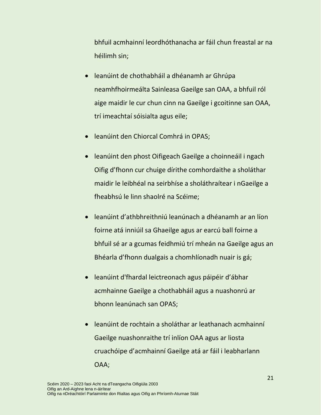bhfuil acmhainní leordhóthanacha ar fáil chun freastal ar na héilimh sin;

- leanúint de chothabháil a dhéanamh ar Ghrúpa neamhfhoirmeálta Sainleasa Gaeilge san OAA, a bhfuil ról aige maidir le cur chun cinn na Gaeilge i gcoitinne san OAA, trí imeachtaí sóisialta agus eile;
- **.** leanúint den Chiorcal Comhrá in OPAS;
- leanúint den phost Oifigeach Gaeilge a choinneáil i ngach Oifig d'fhonn cur chuige dírithe comhordaithe a sholáthar maidir le leibhéal na seirbhíse a sholáthraítear i nGaeilge a fheabhsú le linn shaolré na Scéime;
- leanúint d'athbhreithniú leanúnach a dhéanamh ar an líon foirne atá inniúil sa Ghaeilge agus ar earcú ball foirne a bhfuil sé ar a gcumas feidhmiú trí mheán na Gaeilge agus an Bhéarla d'fhonn dualgais a chomhlíonadh nuair is gá;
- leanúint d'fhardal leictreonach agus páipéir d'ábhar acmhainne Gaeilge a chothabháil agus a nuashonrú ar bhonn leanúnach san OPAS;
- leanúint de rochtain a sholáthar ar leathanach acmhainní Gaeilge nuashonraithe trí inlíon OAA agus ar liosta cruachóipe d'acmhainní Gaeilge atá ar fáil i leabharlann OAA;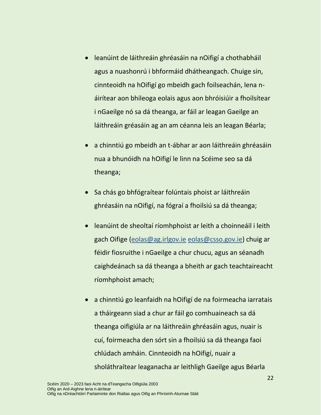- leanúint de láithreáin ghréasáin na nOifigí a chothabháil agus a nuashonrú i bhformáid dhátheangach. Chuige sin, cinnteoidh na hOifigí go mbeidh gach foilseachán, lena náirítear aon bhileoga eolais agus aon bhróisiúir a fhoilsítear i nGaeilge nó sa dá theanga, ar fáil ar leagan Gaeilge an láithreáin gréasáin ag an am céanna leis an leagan Béarla;
- a chinntiú go mbeidh an t-ábhar ar aon láithreáin ghréasáin nua a bhunóidh na hOifigí le linn na Scéime seo sa dá theanga;
- Sa chás go bhfógraítear folúntais phoist ar láithreáin ghréasáin na nOifigí, na fógraí a fhoilsiú sa dá theanga;
- leanúint de sheoltaí ríomhphoist ar leith a choinneáil i leith gach Oifige [\(eolas@ag.irlgov.ie](mailto:eolas@ag.irlgov.ie) [eolas@csso.gov.ie\)](mailto:eolas@csso.gov.ie) chuig ar féidir fiosruithe i nGaeilge a chur chucu, agus an séanadh caighdeánach sa dá theanga a bheith ar gach teachtaireacht ríomhphoist amach;
- a chinntiú go leanfaidh na hOifigí de na foirmeacha iarratais a tháirgeann siad a chur ar fáil go comhuaineach sa dá theanga oifigiúla ar na láithreáin ghréasáin agus, nuair is cuí, foirmeacha den sórt sin a fhoilsiú sa dá theanga faoi chlúdach amháin. Cinnteoidh na hOifigí, nuair a sholáthraítear leaganacha ar leithligh Gaeilge agus Béarla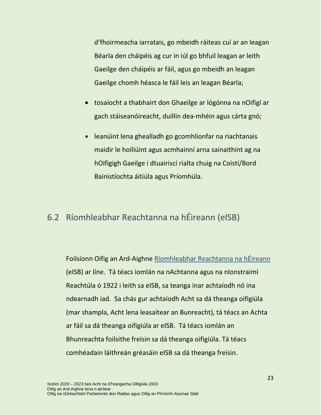d'fhoirmeacha iarratais, go mbeidh ráiteas cuí ar an leagan Béarla den cháipéis ag cur in iúl go bhfuil leagan ar leith Gaeilge den cháipéis ar fáil, agus go mbeidh an leagan Gaeilge chomh héasca le fáil leis an leagan Béarla;

- tosaíocht a thabhairt don Ghaeilge ar lógónna na nOifigí ar gach stáiseanóireacht, duillín dea-mhéin agus cárta gnó;
- leanúint lena ghealladh go gcomhlíonfar na riachtanais maidir le hoiliúint agus acmhainní arna sainaithint ag na hOifigigh Gaeilge i dtuairiscí rialta chuig na Coistí/Bord Bainistíochta áitiúla agus Príomhúla.

### 6.2 Ríomhleabhar Reachtanna na hÉireann (eISB)

Foilsíonn Oifig an Ard-Aighne [Ríomhleabhar Reachtanna na hÉireann](http://www.irishstatutebook.ie/) (eISB) ar líne. Tá téacs iomlán na nAchtanna agus na nIonstraimí Reachtúla ó 1922 i leith sa eISB, sa teanga inar achtaíodh nó ina ndearnadh iad. Sa chás gur achtaíodh Acht sa dá theanga oifigiúla (mar shampla, Acht lena leasaítear an Bunreacht), tá téacs an Achta ar fáil sa dá theanga oifigiúla ar eISB. Tá téacs iomlán an Bhunreachta foilsithe freisin sa dá theanga oifigiúla. Tá téacs comhéadain láithreán gréasáin eISB sa dá theanga freisin.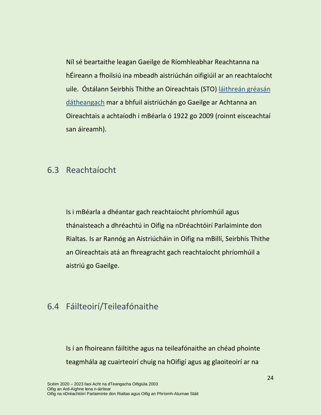Níl sé beartaithe leagan Gaeilge de Ríomhleabhar Reachtanna na hÉireann a fhoilsiú ina mbeadh aistriúchán oifigiúil ar an reachtaíocht uile. Óstálann Seirbhís Thithe an Oireachtais (STO) [láithreán gréasán](http://www.achtanna.ie/)  [dátheangach](http://www.achtanna.ie/) mar a bhfuil aistriúchán go Gaeilge ar Achtanna an Oireachtais a achtaíodh i mBéarla ó 1922 go 2009 (roinnt eisceachtaí san áireamh).

#### 6.3 Reachtaíocht

Is i mBéarla a dhéantar gach reachtaíocht phríomhúil agus thánaisteach a dhréachtú in Oifig na nDréachtóirí Parlaiminte don Rialtas. Is ar Rannóg an Aistriúcháin in Oifig na mBillí, Seirbhís Thithe an Oireachtais atá an fhreagracht gach reachtaíocht phríomhúil a aistriú go Gaeilge.

#### 6.4 Fáilteoirí/Teileafónaithe

Is í an fhoireann fáiltithe agus na teileafónaithe an chéad phointe teagmhála ag cuairteoirí chuig na hOifigí agus ag glaoiteoirí ar na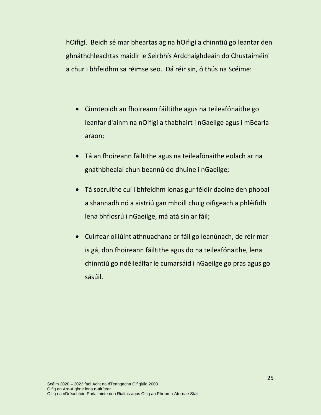hOifigí. Beidh sé mar bheartas ag na hOifigí a chinntiú go leantar den ghnáthchleachtas maidir le Seirbhís Ardchaighdeáin do Chustaiméirí a chur i bhfeidhm sa réimse seo. Dá réir sin, ó thús na Scéime:

- Cinnteoidh an fhoireann fáiltithe agus na teileafónaithe go leanfar d'ainm na nOifigí a thabhairt i nGaeilge agus i mBéarla araon;
- Tá an fhoireann fáiltithe agus na teileafónaithe eolach ar na gnáthbhealaí chun beannú do dhuine i nGaeilge;
- Tá socruithe cuí i bhfeidhm ionas gur féidir daoine den phobal a shannadh nó a aistriú gan mhoill chuig oifigeach a phléifidh lena bhfiosrú i nGaeilge, má atá sin ar fáil;
- Cuirfear oiliúint athnuachana ar fáil go leanúnach, de réir mar is gá, don fhoireann fáiltithe agus do na teileafónaithe, lena chinntiú go ndéileálfar le cumarsáid i nGaeilge go pras agus go sásúil.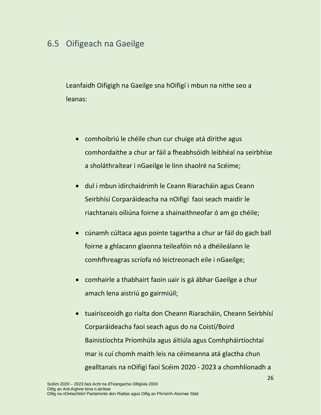### 6.5 Oifigeach na Gaeilge

Leanfaidh Oifigigh na Gaeilge sna hOifigí i mbun na nithe seo a leanas:

- comhoibriú le chéile chun cur chuige atá dírithe agus comhordaithe a chur ar fáil a fheabhsóidh leibhéal na seirbhíse a sholáthraítear i nGaeilge le linn shaolré na Scéime;
- dul i mbun idirchaidrimh le Ceann Riaracháin agus Ceann Seirbhísí Corparáideacha na nOifigí faoi seach maidir le riachtanais oiliúna foirne a shainaithneofar ó am go chéile;
- cúnamh cúltaca agus pointe tagartha a chur ar fáil do gach ball foirne a ghlacann glaonna teileafóin nó a dhéileálann le comhfhreagras scríofa nó leictreonach eile i nGaeilge;
- comhairle a thabhairt faoin uair is gá ábhar Gaeilge a chur amach lena aistriú go gairmiúil;
- tuairisceoidh go rialta don Cheann Riaracháin, Cheann Seirbhísí Corparáideacha faoi seach agus do na Coistí/Boird Bainistíochta Príomhúla agus áitiúla agus Comhpháirtíochtaí mar is cuí chomh maith leis na céimeanna atá glactha chun gealltanais na nOifigí faoi Scéim 2020 - 2023 a chomhlíonadh a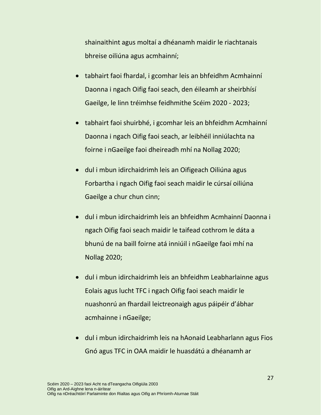shainaithint agus moltaí a dhéanamh maidir le riachtanais bhreise oiliúna agus acmhainní;

- tabhairt faoi fhardal, i gcomhar leis an bhfeidhm Acmhainní Daonna i ngach Oifig faoi seach, den éileamh ar sheirbhísí Gaeilge, le linn tréimhse feidhmithe Scéim 2020 - 2023;
- tabhairt faoi shuirbhé, i gcomhar leis an bhfeidhm Acmhainní Daonna i ngach Oifig faoi seach, ar leibhéil inniúlachta na foirne i nGaeilge faoi dheireadh mhí na Nollag 2020;
- dul i mbun idirchaidrimh leis an Oifigeach Oiliúna agus Forbartha i ngach Oifig faoi seach maidir le cúrsaí oiliúna Gaeilge a chur chun cinn;
- dul i mbun idirchaidrimh leis an bhfeidhm Acmhainní Daonna i ngach Oifig faoi seach maidir le taifead cothrom le dáta a bhunú de na baill foirne atá inniúil i nGaeilge faoi mhí na Nollag 2020;
- dul i mbun idirchaidrimh leis an bhfeidhm Leabharlainne agus Eolais agus lucht TFC i ngach Oifig faoi seach maidir le nuashonrú an fhardail leictreonaigh agus páipéir d'ábhar acmhainne i nGaeilge;
- dul i mbun idirchaidrimh leis na hAonaid Leabharlann agus Fios Gnó agus TFC in OAA maidir le huasdátú a dhéanamh ar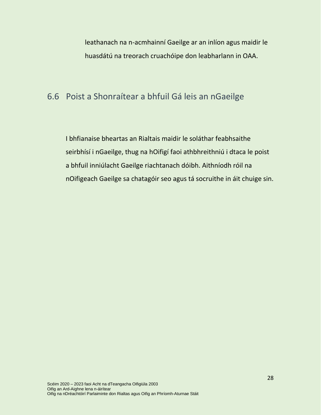leathanach na n-acmhainní Gaeilge ar an inlíon agus maidir le huasdátú na treorach cruachóipe don leabharlann in OAA.

### 6.6 Poist a Shonraítear a bhfuil Gá leis an nGaeilge

I bhfianaise bheartas an Rialtais maidir le soláthar feabhsaithe seirbhísí i nGaeilge, thug na hOifigí faoi athbhreithniú i dtaca le poist a bhfuil inniúlacht Gaeilge riachtanach dóibh. Aithníodh róil na nOifigeach Gaeilge sa chatagóir seo agus tá socruithe in áit chuige sin.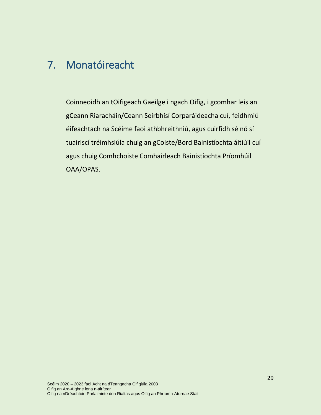## <span id="page-30-0"></span>7. Monatóireacht

Coinneoidh an tOifigeach Gaeilge i ngach Oifig, i gcomhar leis an gCeann Riaracháin/Ceann Seirbhísí Corparáideacha cuí, feidhmiú éifeachtach na Scéime faoi athbhreithniú, agus cuirfidh sé nó sí tuairiscí tréimhsiúla chuig an gCoiste/Bord Bainistíochta áitiúil cuí agus chuig Comhchoiste Comhairleach Bainistíochta Príomhúil OAA/OPAS.